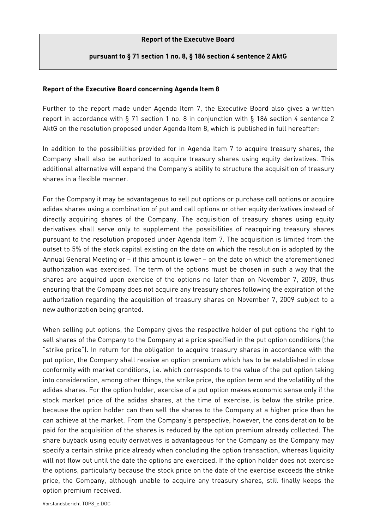## **Report of the Executive Board**

## **pursuant to § 71 section 1 no. 8, § 186 section 4 sentence 2 AktG**

## **Report of the Executive Board concerning Agenda Item 8**

Further to the report made under Agenda Item 7, the Executive Board also gives a written report in accordance with § 71 section 1 no. 8 in conjunction with § 186 section 4 sentence 2 AktG on the resolution proposed under Agenda Item 8, which is published in full hereafter:

In addition to the possibilities provided for in Agenda Item 7 to acquire treasury shares, the Company shall also be authorized to acquire treasury shares using equity derivatives. This additional alternative will expand the Company's ability to structure the acquisition of treasury shares in a flexible manner.

For the Company it may be advantageous to sell put options or purchase call options or acquire adidas shares using a combination of put and call options or other equity derivatives instead of directly acquiring shares of the Company. The acquisition of treasury shares using equity derivatives shall serve only to supplement the possibilities of reacquiring treasury shares pursuant to the resolution proposed under Agenda Item 7. The acquisition is limited from the outset to 5% of the stock capital existing on the date on which the resolution is adopted by the Annual General Meeting or – if this amount is lower – on the date on which the aforementioned authorization was exercised. The term of the options must be chosen in such a way that the shares are acquired upon exercise of the options no later than on November 7, 2009, thus ensuring that the Company does not acquire any treasury shares following the expiration of the authorization regarding the acquisition of treasury shares on November 7, 2009 subject to a new authorization being granted.

When selling put options, the Company gives the respective holder of put options the right to sell shares of the Company to the Company at a price specified in the put option conditions (the "strike price"). In return for the obligation to acquire treasury shares in accordance with the put option, the Company shall receive an option premium which has to be established in close conformity with market conditions, i.e. which corresponds to the value of the put option taking into consideration, among other things, the strike price, the option term and the volatility of the adidas shares. For the option holder, exercise of a put option makes economic sense only if the stock market price of the adidas shares, at the time of exercise, is below the strike price, because the option holder can then sell the shares to the Company at a higher price than he can achieve at the market. From the Company's perspective, however, the consideration to be paid for the acquisition of the shares is reduced by the option premium already collected. The share buyback using equity derivatives is advantageous for the Company as the Company may specify a certain strike price already when concluding the option transaction, whereas liquidity will not flow out until the date the options are exercised. If the option holder does not exercise the options, particularly because the stock price on the date of the exercise exceeds the strike price, the Company, although unable to acquire any treasury shares, still finally keeps the option premium received.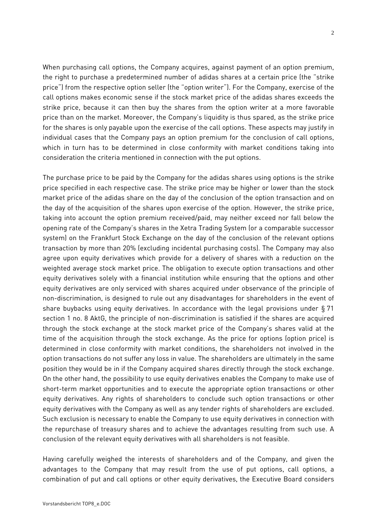When purchasing call options, the Company acquires, against payment of an option premium, the right to purchase a predetermined number of adidas shares at a certain price (the "strike price") from the respective option seller (the "option writer"). For the Company, exercise of the call options makes economic sense if the stock market price of the adidas shares exceeds the strike price, because it can then buy the shares from the option writer at a more favorable price than on the market. Moreover, the Company's liquidity is thus spared, as the strike price for the shares is only payable upon the exercise of the call options. These aspects may justify in individual cases that the Company pays an option premium for the conclusion of call options, which in turn has to be determined in close conformity with market conditions taking into consideration the criteria mentioned in connection with the put options.

The purchase price to be paid by the Company for the adidas shares using options is the strike price specified in each respective case. The strike price may be higher or lower than the stock market price of the adidas share on the day of the conclusion of the option transaction and on the day of the acquisition of the shares upon exercise of the option. However, the strike price, taking into account the option premium received/paid, may neither exceed nor fall below the opening rate of the Company's shares in the Xetra Trading System (or a comparable successor system) on the Frankfurt Stock Exchange on the day of the conclusion of the relevant options transaction by more than 20% (excluding incidental purchasing costs). The Company may also agree upon equity derivatives which provide for a delivery of shares with a reduction on the weighted average stock market price. The obligation to execute option transactions and other equity derivatives solely with a financial institution while ensuring that the options and other equity derivatives are only serviced with shares acquired under observance of the principle of non-discrimination, is designed to rule out any disadvantages for shareholders in the event of share buybacks using equity derivatives. In accordance with the legal provisions under § 71 section 1 no. 8 AktG, the principle of non-discrimination is satisfied if the shares are acquired through the stock exchange at the stock market price of the Company's shares valid at the time of the acquisition through the stock exchange. As the price for options (option price) is determined in close conformity with market conditions, the shareholders not involved in the option transactions do not suffer any loss in value. The shareholders are ultimately in the same position they would be in if the Company acquired shares directly through the stock exchange. On the other hand, the possibility to use equity derivatives enables the Company to make use of short-term market opportunities and to execute the appropriate option transactions or other equity derivatives. Any rights of shareholders to conclude such option transactions or other equity derivatives with the Company as well as any tender rights of shareholders are excluded. Such exclusion is necessary to enable the Company to use equity derivatives in connection with the repurchase of treasury shares and to achieve the advantages resulting from such use. A conclusion of the relevant equity derivatives with all shareholders is not feasible.

Having carefully weighed the interests of shareholders and of the Company, and given the advantages to the Company that may result from the use of put options, call options, a combination of put and call options or other equity derivatives, the Executive Board considers